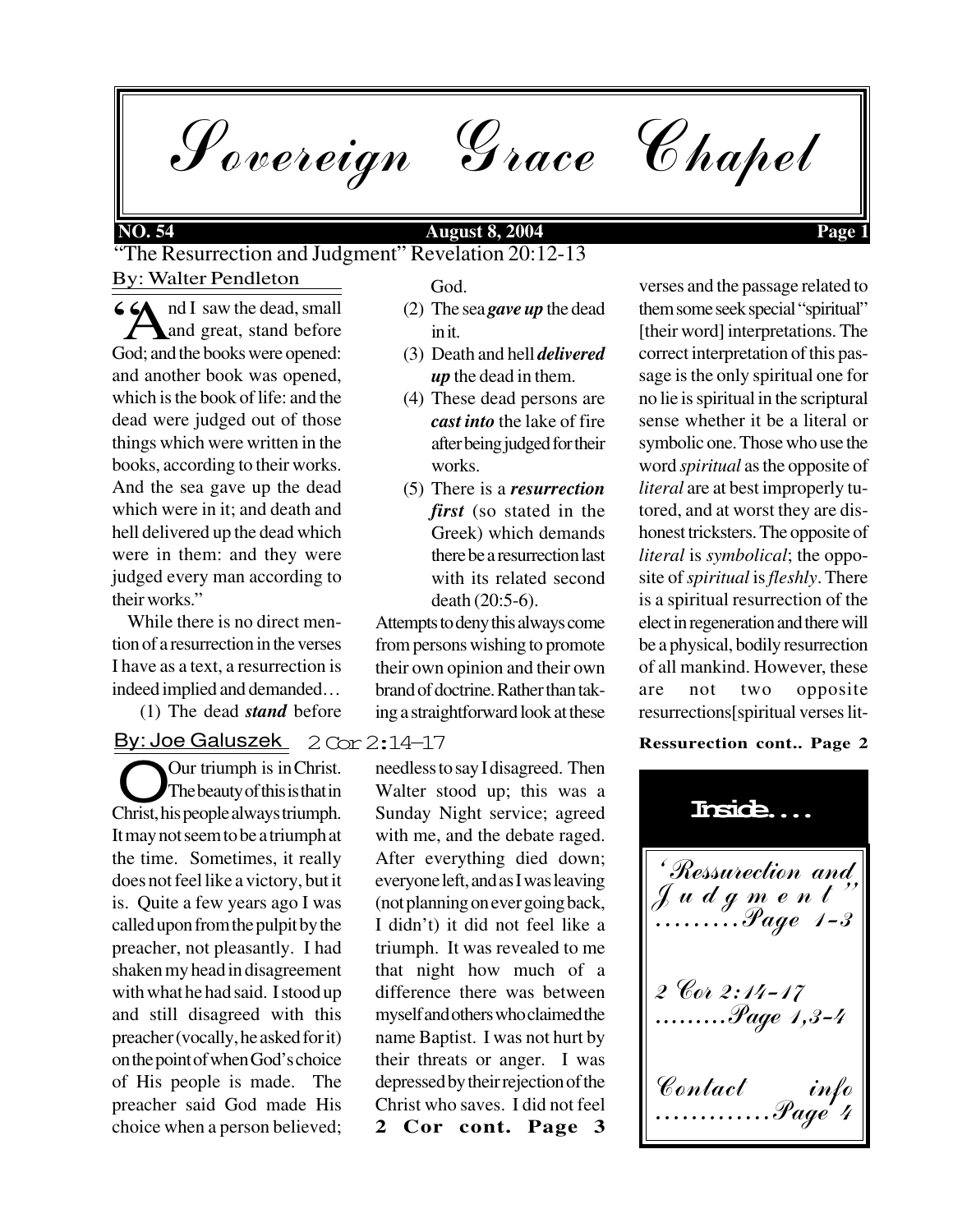Sovereign Grace Chapel

### **NO. 54 August 8, 2004 Page 1**

By: Walter Pendleton "The Resurrection and Judgment" Revelation 20:12-13

 $\bigotimes$  nd I saw the dead, small<br>and great, stand before **A** and great, stand before God; and the books were opened: and another book was opened, which is the book of life: and the dead were judged out of those things which were written in the books, according to their works. And the sea gave up the dead which were in it; and death and hell delivered up the dead which were in them: and they were judged every man according to their works."

 While there is no direct mention of a resurrection in the verses I have as a text, a resurrection is indeed implied and demanded…

(1) The dead *stand* before

By: Joe Galuszek 2 Cor 2:14–17

Our triumph is in Christ.<br>Christ, his people always triumph. Our triumph is in Christ. The beauty of this is that in It may not seem to be a triumph at the time. Sometimes, it really does not feel like a victory, but it is. Quite a few years ago I was called upon from the pulpit by the preacher, not pleasantly. I had shaken my head in disagreement with what he had said. I stood up and still disagreed with this preacher (vocally, he asked for it) on the point of when God's choice of His people is made. The preacher said God made His choice when a person believed;

God.

- (2) The sea *gave up* the dead in it.
- (3) Death and hell *delivered up* the dead in them.
- (4) These dead persons are *cast into* the lake of fire after being judged for their works.
- (5) There is a *resurrection first* (so stated in the Greek) which demands there be a resurrection last with its related second death (20:5-6).

Attempts to deny this always come from persons wishing to promote their own opinion and their own brand of doctrine. Rather than taking a straightforward look at these

**2 Cor cont. Page 3** needless to say I disagreed. Then Walter stood up; this was a Sunday Night service; agreed with me, and the debate raged. After everything died down; everyone left, and as I was leaving (not planning on ever going back, I didn't) it did not feel like a triumph. It was revealed to me that night how much of a difference there was between myself and others who claimed the name Baptist. I was not hurt by their threats or anger. I was depressed by their rejection of the Christ who saves. I did not feel

verses and the passage related to them some seek special "spiritual" [their word] interpretations. The correct interpretation of this passage is the only spiritual one for no lie is spiritual in the scriptural sense whether it be a literal or symbolic one. Those who use the word *spiritual* as the opposite of *literal* are at best improperly tutored, and at worst they are dishonest tricksters. The opposite of *literal* is *symbolical*; the opposite of *spiritual* is *fleshly*. There is a spiritual resurrection of the elect in regeneration and there will be a physical, bodily resurrection of all mankind. However, these are not two opposite resurrections[spiritual verses lit-

### **Ressurection cont.. Page 2**

'Ressurection and Judgment $^{\prime}$ .........Page 1-3 2 Cor 2:14-17 .........Page 1,3-4 Contact info .............Page 4 **Inside....**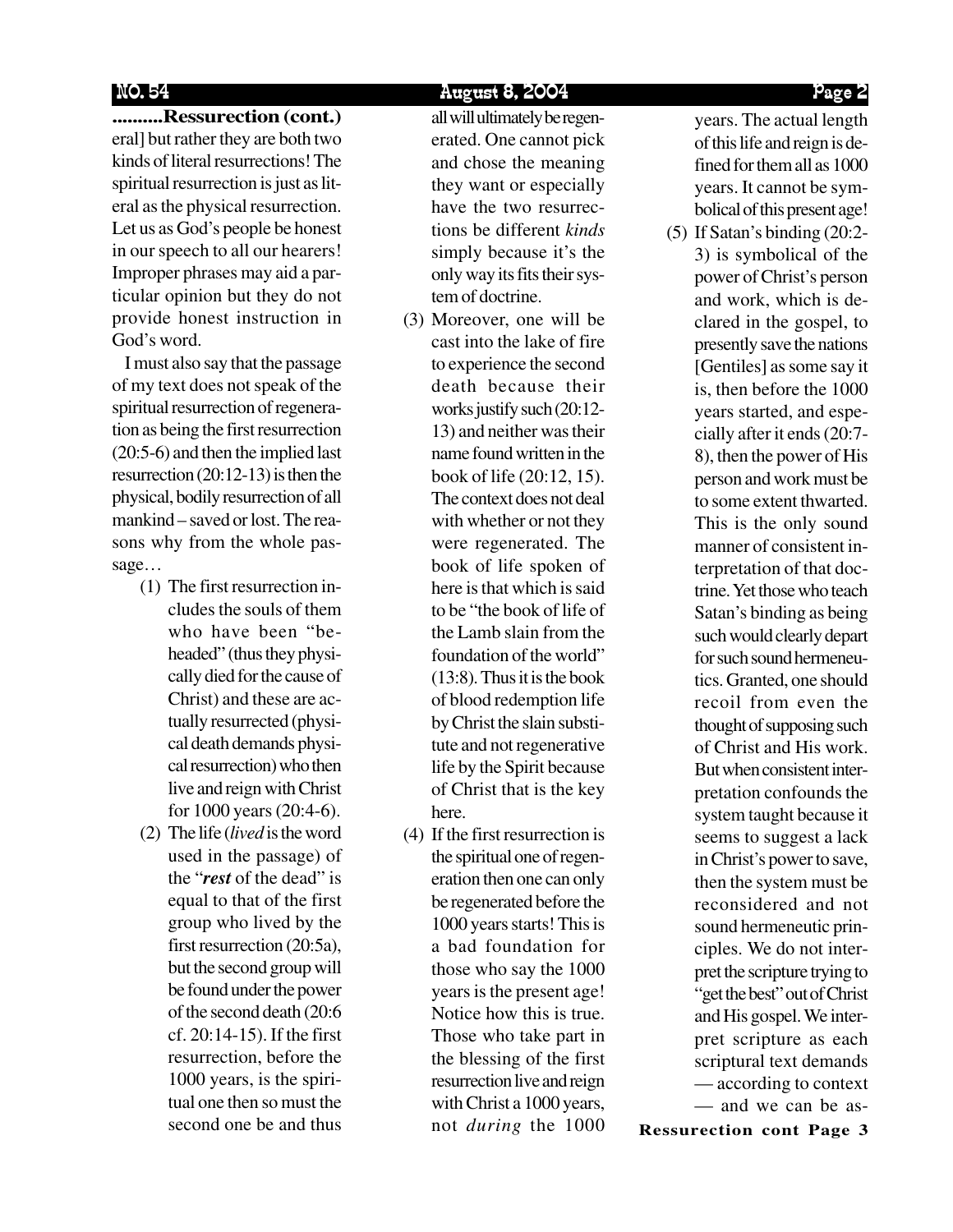NO. 54 August 8, 2004 Page 2

**..........Ressurection (cont.)** eral] but rather they are both two kinds of literal resurrections! The spiritual resurrection is just as literal as the physical resurrection. Let us as God's people be honest in our speech to all our hearers! Improper phrases may aid a particular opinion but they do not provide honest instruction in God's word.

 I must also say that the passage of my text does not speak of the spiritual resurrection of regeneration as being the first resurrection (20:5-6) and then the implied last resurrection (20:12-13) is then the physical, bodily resurrection of all mankind – saved or lost. The reasons why from the whole passage…

- (1) The first resurrection includes the souls of them who have been "beheaded" (thus they physically died for the cause of Christ) and these are actually resurrected (physical death demands physical resurrection) who then live and reign with Christ for 1000 years (20:4-6).
- (2) The life (*lived* is the word used in the passage) of the "*rest* of the dead" is equal to that of the first group who lived by the first resurrection (20:5a), but the second group will be found under the power of the second death (20:6 cf. 20:14-15). If the first resurrection, before the 1000 years, is the spiritual one then so must the second one be and thus

all will ultimately be regenerated. One cannot pick and chose the meaning they want or especially have the two resurrections be different *kinds* simply because it's the only way its fits their system of doctrine.

- (3) Moreover, one will be cast into the lake of fire to experience the second death because their works justify such (20:12- 13) and neither was their name found written in the book of life (20:12, 15). The context does not deal with whether or not they were regenerated. The book of life spoken of here is that which is said to be "the book of life of the Lamb slain from the foundation of the world" (13:8). Thus it is the book of blood redemption life by Christ the slain substitute and not regenerative life by the Spirit because of Christ that is the key here.
- (4) If the first resurrection is the spiritual one of regeneration then one can only be regenerated before the 1000 years starts! This is a bad foundation for those who say the 1000 years is the present age! Notice how this is true. Those who take part in the blessing of the first resurrection live and reign with Christ a 1000 years, not *during* the 1000

years. The actual length of this life and reign is defined for them all as 1000 years. It cannot be symbolical of this present age!

(5) If Satan's binding (20:2- 3) is symbolical of the power of Christ's person and work, which is declared in the gospel, to presently save the nations [Gentiles] as some say it is, then before the 1000 years started, and especially after it ends (20:7- 8), then the power of His person and work must be to some extent thwarted. This is the only sound manner of consistent interpretation of that doctrine. Yet those who teach Satan's binding as being such would clearly depart for such sound hermeneutics. Granted, one should recoil from even the thought of supposing such of Christ and His work. But when consistent interpretation confounds the system taught because it seems to suggest a lack in Christ's power to save, then the system must be reconsidered and not sound hermeneutic principles. We do not interpret the scripture trying to "get the best" out of Christ and His gospel. We interpret scripture as each scriptural text demands — according to context — and we can be as-

**Ressurection cont Page 3**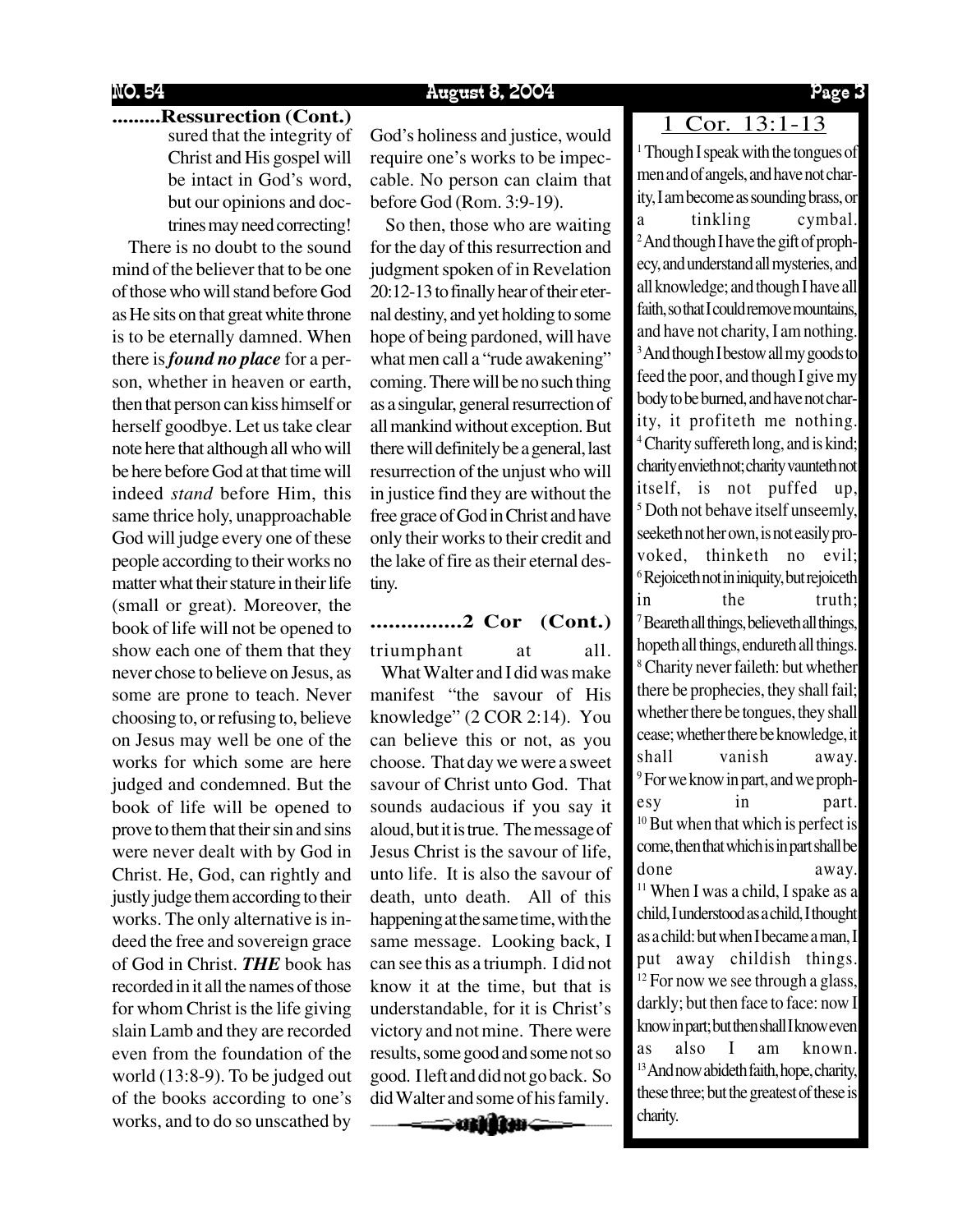### NO. 54 August 8, 2004 Page 3

## **........Ressurection (Cont.)** 1 Cor. 13:1-13

sured that the integrity of Christ and His gospel will be intact in God's word, but our opinions and doctrines may need correcting!

 There is no doubt to the sound mind of the believer that to be one of those who will stand before God as He sits on that great white throne is to be eternally damned. When there is *found no place* for a person, whether in heaven or earth, then that person can kiss himself or herself goodbye. Let us take clear note here that although all who will be here before God at that time will indeed *stand* before Him, this same thrice holy, unapproachable God will judge every one of these people according to their works no matter what their stature in their life (small or great). Moreover, the book of life will not be opened to show each one of them that they never chose to believe on Jesus, as some are prone to teach. Never choosing to, or refusing to, believe on Jesus may well be one of the works for which some are here judged and condemned. But the book of life will be opened to prove to them that their sin and sins were never dealt with by God in Christ. He, God, can rightly and justly judge them according to their works. The only alternative is indeed the free and sovereign grace of God in Christ. *THE* book has recorded in it all the names of those for whom Christ is the life giving slain Lamb and they are recorded even from the foundation of the world (13:8-9). To be judged out of the books according to one's works, and to do so unscathed by

God's holiness and justice, would require one's works to be impeccable. No person can claim that before God (Rom. 3:9-19).

 So then, those who are waiting for the day of this resurrection and judgment spoken of in Revelation 20:12-13 to finally hear of their eternal destiny, and yet holding to some hope of being pardoned, will have what men call a "rude awakening" coming. There will be no such thing as a singular, general resurrection of all mankind without exception. But there will definitely be a general, last resurrection of the unjust who will in justice find they are without the free grace of God in Christ and have only their works to their credit and the lake of fire as their eternal destiny.

### **...............2 Cor (Cont.)**

triumphant at all. What Walter and I did was make

manifest "the savour of His knowledge" (2 COR 2:14). You can believe this or not, as you choose. That day we were a sweet savour of Christ unto God. That sounds audacious if you say it aloud, but it is true. The message of Jesus Christ is the savour of life, unto life. It is also the savour of death, unto death. All of this happening at the same time, with the same message. Looking back, I can see this as a triumph. I did not know it at the time, but that is understandable, for it is Christ's victory and not mine. There were results, some good and some not so good. I left and did not go back. So did Walter and some of his family.

—**ann**a

1 Though I speak with the tongues of men and of angels, and have not charity, I am become as sounding brass, or a tinkling cymbal. <sup>2</sup> And though I have the gift of prophecy, and understand all mysteries, and all knowledge; and though I have all faith, so that I could remove mountains, and have not charity, I am nothing. <sup>3</sup> And though I bestow all my goods to feed the poor, and though I give my body to be burned, and have not charity, it profiteth me nothing. 4 Charity suffereth long, and is kind; charity envieth not; charity vaunteth not itself, is not puffed up, 5 Doth not behave itself unseemly, seeketh not her own, is not easily provoked, thinketh no evil; 6 Rejoiceth not in iniquity, but rejoiceth in the truth; 7 Beareth all things, believeth all things, hopeth all things, endureth all things. 8 Charity never faileth: but whether there be prophecies, they shall fail; whether there be tongues, they shall cease; whether there be knowledge, it shall vanish away. 9 For we know in part, and we prophesy in part.  $10$  But when that which is perfect is come, then that which is in part shall be done away. <sup>11</sup> When I was a child, I spake as a child, I understood as a child, I thought as a child: but when I became a man, I put away childish things.  $12$  For now we see through a glass, darkly; but then face to face: now I know in part; but then shall I know even as also I am known. <sup>13</sup> And now abideth faith, hope, charity, these three; but the greatest of these is charity.